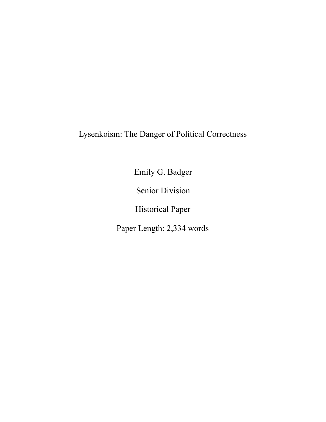Lysenkoism: The Danger of Political Correctness

Emily G. Badger

Senior Division

Historical Paper

Paper Length: 2,334 words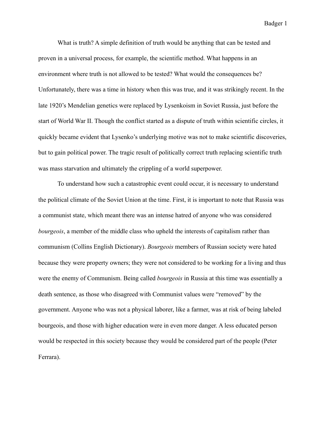What is truth? A simple definition of truth would be anything that can be tested and proven in a universal process, for example, the scientific method. What happens in an environment where truth is not allowed to be tested? What would the consequences be? Unfortunately, there was a time in history when this was true, and it was strikingly recent. In the late 1920's Mendelian genetics were replaced by Lysenkoism in Soviet Russia, just before the start of World War II. Though the conflict started as a dispute of truth within scientific circles, it quickly became evident that Lysenko's underlying motive was not to make scientific discoveries, but to gain political power. The tragic result of politically correct truth replacing scientific truth was mass starvation and ultimately the crippling of a world superpower.

 To understand how such a catastrophic event could occur, it is necessary to understand the political climate of the Soviet Union at the time. First, it is important to note that Russia was a communist state, which meant there was an intense hatred of anyone who was considered *bourgeois*, a member of the middle class who upheld the interests of capitalism rather than communism (Collins English Dictionary). *Bourgeois* members of Russian society were hated because they were property owners; they were not considered to be working for a living and thus were the enemy of Communism. Being called *bourgeois* in Russia at this time was essentially a death sentence, as those who disagreed with Communist values were "removed" by the government. Anyone who was not a physical laborer, like a farmer, was at risk of being labeled bourgeois, and those with higher education were in even more danger. A less educated person would be respected in this society because they would be considered part of the people (Peter Ferrara).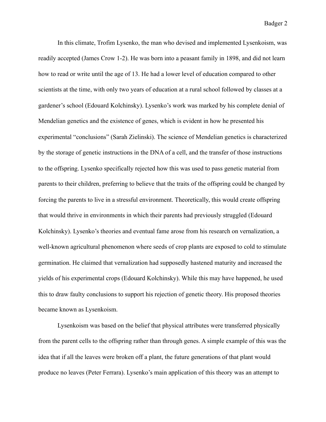In this climate, Trofim Lysenko, the man who devised and implemented Lysenkoism, was readily accepted (James Crow 1-2). He was born into a peasant family in 1898, and did not learn how to read or write until the age of 13. He had a lower level of education compared to other scientists at the time, with only two years of education at a rural school followed by classes at a gardener's school (Edouard Kolchinsky). Lysenko's work was marked by his complete denial of Mendelian genetics and the existence of genes, which is evident in how he presented his experimental "conclusions" (Sarah Zielinski). The science of Mendelian genetics is characterized by the storage of genetic instructions in the DNA of a cell, and the transfer of those instructions to the offspring. Lysenko specifically rejected how this was used to pass genetic material from parents to their children, preferring to believe that the traits of the offspring could be changed by forcing the parents to live in a stressful environment. Theoretically, this would create offspring that would thrive in environments in which their parents had previously struggled (Edouard Kolchinsky). Lysenko's theories and eventual fame arose from his research on vernalization, a well-known agricultural phenomenon where seeds of crop plants are exposed to cold to stimulate germination. He claimed that vernalization had supposedly hastened maturity and increased the yields of his experimental crops (Edouard Kolchinsky). While this may have happened, he used this to draw faulty conclusions to support his rejection of genetic theory. His proposed theories became known as Lysenkoism.

 Lysenkoism was based on the belief that physical attributes were transferred physically from the parent cells to the offspring rather than through genes. A simple example of this was the idea that if all the leaves were broken off a plant, the future generations of that plant would produce no leaves (Peter Ferrara). Lysenko's main application of this theory was an attempt to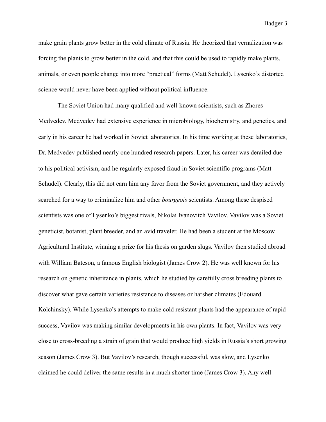make grain plants grow better in the cold climate of Russia. He theorized that vernalization was forcing the plants to grow better in the cold, and that this could be used to rapidly make plants, animals, or even people change into more "practical" forms (Matt Schudel). Lysenko's distorted science would never have been applied without political influence.

 The Soviet Union had many qualified and well-known scientists, such as Zhores Medvedev. Medvedev had extensive experience in microbiology, biochemistry, and genetics, and early in his career he had worked in Soviet laboratories. In his time working at these laboratories, Dr. Medvedev published nearly one hundred research papers. Later, his career was derailed due to his political activism, and he regularly exposed fraud in Soviet scientific programs (Matt Schudel). Clearly, this did not earn him any favor from the Soviet government, and they actively searched for a way to criminalize him and other *bourgeois* scientists. Among these despised scientists was one of Lysenko's biggest rivals, Nikolai Ivanovitch Vavilov. Vavilov was a Soviet geneticist, botanist, plant breeder, and an avid traveler. He had been a student at the Moscow Agricultural Institute, winning a prize for his thesis on garden slugs. Vavilov then studied abroad with William Bateson, a famous English biologist (James Crow 2). He was well known for his research on genetic inheritance in plants, which he studied by carefully cross breeding plants to discover what gave certain varieties resistance to diseases or harsher climates (Edouard Kolchinsky). While Lysenko's attempts to make cold resistant plants had the appearance of rapid success, Vavilov was making similar developments in his own plants. In fact, Vavilov was very close to cross-breeding a strain of grain that would produce high yields in Russia's short growing season (James Crow 3). But Vavilov's research, though successful, was slow, and Lysenko claimed he could deliver the same results in a much shorter time (James Crow 3). Any well-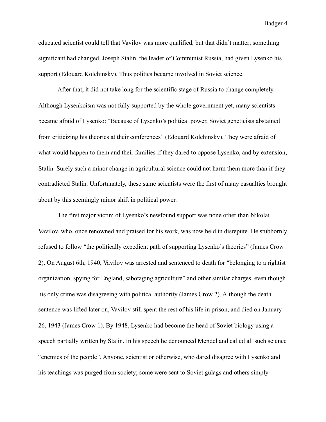educated scientist could tell that Vavilov was more qualified, but that didn't matter; something significant had changed. Joseph Stalin, the leader of Communist Russia, had given Lysenko his support (Edouard Kolchinsky). Thus politics became involved in Soviet science.

 After that, it did not take long for the scientific stage of Russia to change completely. Although Lysenkoism was not fully supported by the whole government yet, many scientists became afraid of Lysenko: "Because of Lysenko's political power, Soviet geneticists abstained from criticizing his theories at their conferences" (Edouard Kolchinsky). They were afraid of what would happen to them and their families if they dared to oppose Lysenko, and by extension, Stalin. Surely such a minor change in agricultural science could not harm them more than if they contradicted Stalin. Unfortunately, these same scientists were the first of many casualties brought about by this seemingly minor shift in political power.

The first major victim of Lysenko's newfound support was none other than Nikolai Vavilov, who, once renowned and praised for his work, was now held in disrepute. He stubbornly refused to follow "the politically expedient path of supporting Lysenko's theories" (James Crow 2). On August 6th, 1940, Vavilov was arrested and sentenced to death for "belonging to a rightist organization, spying for England, sabotaging agriculture" and other similar charges, even though his only crime was disagreeing with political authority (James Crow 2). Although the death sentence was lifted later on, Vavilov still spent the rest of his life in prison, and died on January 26, 1943 (James Crow 1). By 1948, Lysenko had become the head of Soviet biology using a speech partially written by Stalin. In his speech he denounced Mendel and called all such science "enemies of the people". Anyone, scientist or otherwise, who dared disagree with Lysenko and his teachings was purged from society; some were sent to Soviet gulags and others simply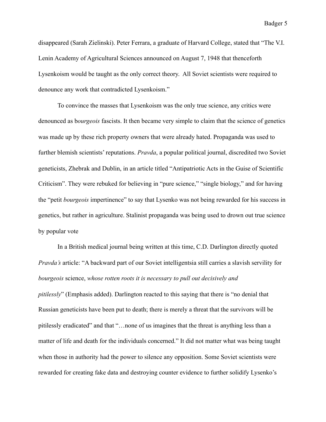disappeared (Sarah Zielinski). Peter Ferrara, a graduate of Harvard College, stated that "The V.I. Lenin Academy of Agricultural Sciences announced on August 7, 1948 that thenceforth Lysenkoism would be taught as the only correct theory. All Soviet scientists were required to denounce any work that contradicted Lysenkoism."

 To convince the masses that Lysenkoism was the only true science, any critics were denounced as b*ourgeois* fascists. It then became very simple to claim that the science of genetics was made up by these rich property owners that were already hated. Propaganda was used to further blemish scientists' reputations. *Pravda*, a popular political journal, discredited two Soviet geneticists, Zhebrak and Dublin, in an article titled "Antipatriotic Acts in the Guise of Scientific Criticism". They were rebuked for believing in "pure science," "single biology," and for having the "petit *bourgeois* impertinence" to say that Lysenko was not being rewarded for his success in genetics, but rather in agriculture. Stalinist propaganda was being used to drown out true science by popular vote

 In a British medical journal being written at this time, C.D. Darlington directly quoted *Pravda's* article: "A backward part of our Soviet intelligentsia still carries a slavish servility for *bourgeois* science, *whose rotten roots it is necessary to pull out decisively and pitilessly*" (Emphasis added). Darlington reacted to this saying that there is "no denial that Russian geneticists have been put to death; there is merely a threat that the survivors will be pitilessly eradicated" and that "…none of us imagines that the threat is anything less than a matter of life and death for the individuals concerned." It did not matter what was being taught when those in authority had the power to silence any opposition. Some Soviet scientists were rewarded for creating fake data and destroying counter evidence to further solidify Lysenko's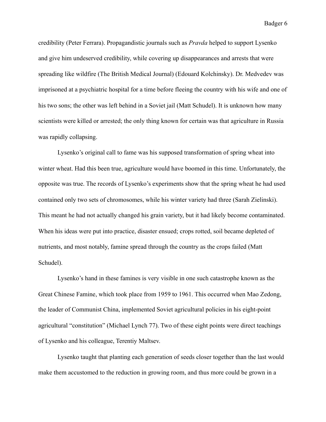credibility (Peter Ferrara). Propagandistic journals such as *Pravda* helped to support Lysenko and give him undeserved credibility, while covering up disappearances and arrests that were spreading like wildfire (The British Medical Journal) (Edouard Kolchinsky). Dr. Medvedev was imprisoned at a psychiatric hospital for a time before fleeing the country with his wife and one of his two sons; the other was left behind in a Soviet jail (Matt Schudel). It is unknown how many scientists were killed or arrested; the only thing known for certain was that agriculture in Russia was rapidly collapsing.

 Lysenko's original call to fame was his supposed transformation of spring wheat into winter wheat. Had this been true, agriculture would have boomed in this time. Unfortunately, the opposite was true. The records of Lysenko's experiments show that the spring wheat he had used contained only two sets of chromosomes, while his winter variety had three (Sarah Zielinski). This meant he had not actually changed his grain variety, but it had likely become contaminated. When his ideas were put into practice, disaster ensued; crops rotted, soil became depleted of nutrients, and most notably, famine spread through the country as the crops failed (Matt Schudel).

 Lysenko's hand in these famines is very visible in one such catastrophe known as the Great Chinese Famine, which took place from 1959 to 1961. This occurred when Mao Zedong, the leader of Communist China, implemented Soviet agricultural policies in his eight-point agricultural "constitution" (Michael Lynch 77). Two of these eight points were direct teachings of Lysenko and his colleague, Terentiy Maltsev.

 Lysenko taught that planting each generation of seeds closer together than the last would make them accustomed to the reduction in growing room, and thus more could be grown in a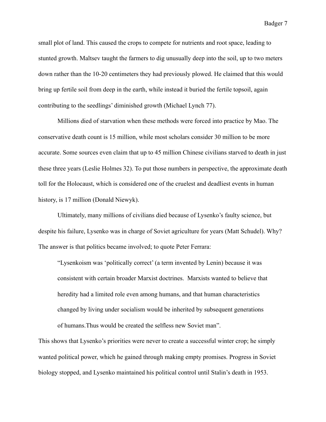small plot of land. This caused the crops to compete for nutrients and root space, leading to stunted growth. Maltsev taught the farmers to dig unusually deep into the soil, up to two meters down rather than the 10-20 centimeters they had previously plowed. He claimed that this would bring up fertile soil from deep in the earth, while instead it buried the fertile topsoil, again contributing to the seedlings' diminished growth (Michael Lynch 77).

 Millions died of starvation when these methods were forced into practice by Mao. The conservative death count is 15 million, while most scholars consider 30 million to be more accurate. Some sources even claim that up to 45 million Chinese civilians starved to death in just these three years (Leslie Holmes 32). To put those numbers in perspective, the approximate death toll for the Holocaust, which is considered one of the cruelest and deadliest events in human history, is 17 million (Donald Niewyk).

Ultimately, many millions of civilians died because of Lysenko's faulty science, but despite his failure, Lysenko was in charge of Soviet agriculture for years (Matt Schudel). Why? The answer is that politics became involved; to quote Peter Ferrara:

"Lysenkoism was 'politically correct' (a term invented by Lenin) because it was consistent with certain broader Marxist doctrines. Marxists wanted to believe that heredity had a limited role even among humans, and that human characteristics changed by living under socialism would be inherited by subsequent generations of humans.Thus would be created the selfless new Soviet man".

This shows that Lysenko's priorities were never to create a successful winter crop; he simply wanted political power, which he gained through making empty promises. Progress in Soviet biology stopped, and Lysenko maintained his political control until Stalin's death in 1953.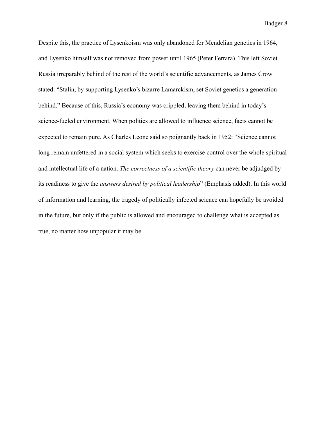Despite this, the practice of Lysenkoism was only abandoned for Mendelian genetics in 1964, and Lysenko himself was not removed from power until 1965 (Peter Ferrara). This left Soviet Russia irreparably behind of the rest of the world's scientific advancements, as James Crow stated: "Stalin, by supporting Lysenko's bizarre Lamarckism, set Soviet genetics a generation behind." Because of this, Russia's economy was crippled, leaving them behind in today's science-fueled environment. When politics are allowed to influence science, facts cannot be expected to remain pure. As Charles Leone said so poignantly back in 1952: "Science cannot long remain unfettered in a social system which seeks to exercise control over the whole spiritual and intellectual life of a nation. *The correctness of a scientific theory* can never be adjudged by its readiness to give the *answers desired by political leadership*" (Emphasis added). In this world of information and learning, the tragedy of politically infected science can hopefully be avoided in the future, but only if the public is allowed and encouraged to challenge what is accepted as true, no matter how unpopular it may be.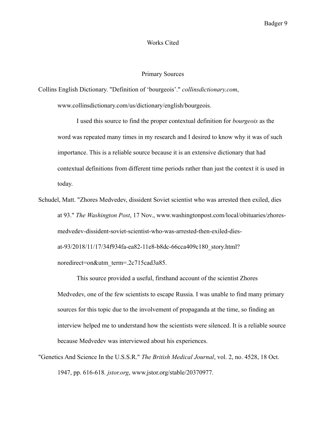## Works Cited

## Primary Sources

Collins English Dictionary. "Definition of 'bourgeois'." *collinsdictionary.com*,

www.collinsdictionary.com/us/dictionary/english/bourgeois.

 I used this source to find the proper contextual definition for *bourgeois* as the word was repeated many times in my research and I desired to know why it was of such importance. This is a reliable source because it is an extensive dictionary that had contextual definitions from different time periods rather than just the context it is used in today.

Schudel, Matt. "Zhores Medvedev, dissident Soviet scientist who was arrested then exiled, dies at 93." *The Washington Post*, 17 Nov., www.washingtonpost.com/local/obituaries/zhoresmedvedev-dissident-soviet-scientist-who-was-arrested-then-exiled-diesat-93/2018/11/17/34f934fa-ea82-11e8-b8dc-66cca409c180\_story.html? noredirect=on&utm\_term=.2c715cad3a85.

 This source provided a useful, firsthand account of the scientist Zhores Medvedev, one of the few scientists to escape Russia. I was unable to find many primary sources for this topic due to the involvement of propaganda at the time, so finding an interview helped me to understand how the scientists were silenced. It is a reliable source because Medvedev was interviewed about his experiences.

"Genetics And Science In the U.S.S.R." *The British Medical Journal*, vol. 2, no. 4528, 18 Oct. 1947, pp. 616-618*. jstor.org*, www.jstor.org/stable/20370977.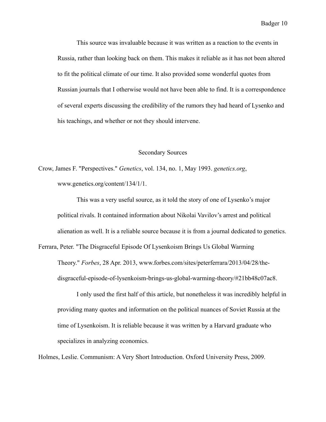This source was invaluable because it was written as a reaction to the events in Russia, rather than looking back on them. This makes it reliable as it has not been altered to fit the political climate of our time. It also provided some wonderful quotes from Russian journals that I otherwise would not have been able to find. It is a correspondence of several experts discussing the credibility of the rumors they had heard of Lysenko and his teachings, and whether or not they should intervene.

## Secondary Sources

Crow, James F. "Perspectives." *Genetics*, vol. 134, no. 1, May 1993. *genetics.org*, www.genetics.org/content/134/1/1.

 This was a very useful source, as it told the story of one of Lysenko's major political rivals. It contained information about Nikolai Vavilov's arrest and political alienation as well. It is a reliable source because it is from a journal dedicated to genetics.

Ferrara, Peter. "The Disgraceful Episode Of Lysenkoism Brings Us Global Warming Theory." *Forbes*, 28 Apr. 2013, www.forbes.com/sites/peterferrara/2013/04/28/thedisgraceful-episode-of-lysenkoism-brings-us-global-warming-theory/#21bb48c07ac8.

 I only used the first half of this article, but nonetheless it was incredibly helpful in providing many quotes and information on the political nuances of Soviet Russia at the time of Lysenkoism. It is reliable because it was written by a Harvard graduate who specializes in analyzing economics.

Holmes, Leslie. Communism: A Very Short Introduction. Oxford University Press, 2009.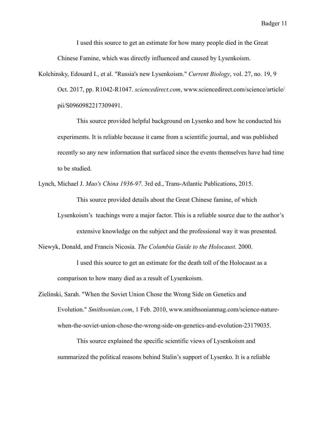I used this source to get an estimate for how many people died in the Great Chinese Famine, which was directly influenced and caused by Lysenkoism.

Kolchinsky, Edouard I., et al. "Russia's new Lysenkoism." *Current Biology*, vol. 27, no. 19, 9 Oct. 2017, pp. R1042-R1047. *sciencedirect.com*, www.sciencedirect.com/science/article/ pii/S0960982217309491.

 This source provided helpful background on Lysenko and how he conducted his experiments. It is reliable because it came from a scientific journal, and was published recently so any new information that surfaced since the events themselves have had time to be studied.

Lynch, Michael J. *Mao's China 1936-97*. 3rd ed., Trans-Atlantic Publications, 2015.

 This source provided details about the Great Chinese famine, of which Lysenkoism's teachings were a major factor. This is a reliable source due to the author's extensive knowledge on the subject and the professional way it was presented.

Niewyk, Donald, and Francis Nicosia. *The Columbia Guide to the Holocaust*. 2000.

 I used this source to get an estimate for the death toll of the Holocaust as a comparison to how many died as a result of Lysenkoism.

Zielinski, Sarah. "When the Soviet Union Chose the Wrong Side on Genetics and Evolution." *Smithsonian.com*, 1 Feb. 2010, www.smithsonianmag.com/science-naturewhen-the-soviet-union-chose-the-wrong-side-on-genetics-and-evolution-23179035.

 This source explained the specific scientific views of Lysenkoism and summarized the political reasons behind Stalin's support of Lysenko. It is a reliable